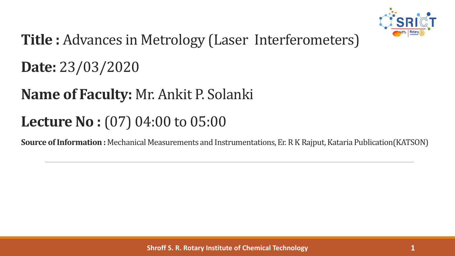

# **Title :** Advances in Metrology (Laser Interferometers)

**Date:** 23/03/2020

# **Name of Faculty:** Mr. Ankit P. Solanki

# **Lecture No :**(07) 04:00 to 05:00

**Source of Information :** Mechanical Measurements and Instrumentations, Er. R K Rajput, Kataria Publication(KATSON)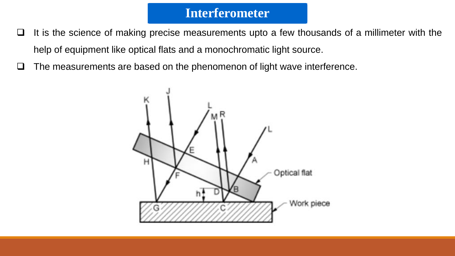- $\Box$  It is the science of making precise measurements upto a few thousands of a millimeter with the help of equipment like optical flats and a monochromatic light source.
- $\Box$  The measurements are based on the phenomenon of light wave interference.

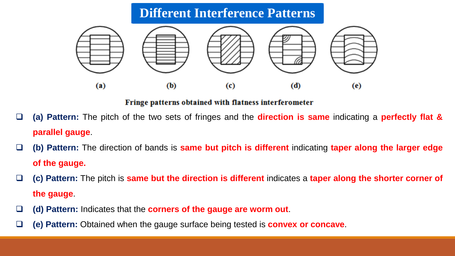# **Different Interference Patterns**



#### Fringe patterns obtained with flatness interferometer

- **(a) Pattern:** The pitch of the two sets of fringes and the **direction is same** indicating a **perfectly flat & parallel gauge**.
- **(b) Pattern:** The direction of bands is **same but pitch is different** indicating **taper along the larger edge of the gauge.**
- **(c) Pattern:** The pitch is **same but the direction is different** indicates a **taper along the shorter corner of the gauge**.
- **(d) Pattern:** Indicates that the **corners of the gauge are worm out**.
- **(e) Pattern:** Obtained when the gauge surface being tested is **convex or concave**.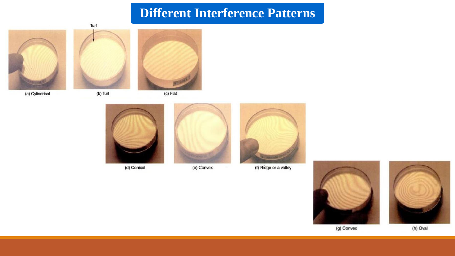### **Different Interference Patterns**

Turf







(b) Turf



(c) Flat



(d) Conical



(e) Convex



(f) Ridge or a valley





(h) Oval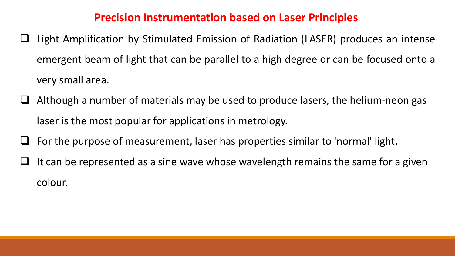#### **Precision Instrumentation based on Laser Principles**

- Light Amplification by Stimulated Emission of Radiation (LASER) produces an intense emergent beam of light that can be parallel to a high degree or can be focused onto a very small area.
- Although a number of materials may be used to produce lasers, the helium-neon gas laser is the most popular for applications in metrology.
- For the purpose of measurement, laser has properties similar to 'normal' light.
- It can be represented as a sine wave whose wavelength remains the same for a given colour.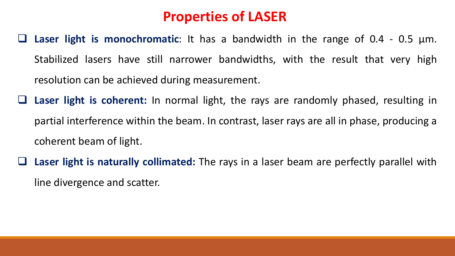## **Properties of LASER**

- **Laser light is monochromatic**: It has a bandwidth in the range of 0.4 0.5 μm. Stabilized lasers have still narrower bandwidths, with the result that very high resolution can be achieved during measurement.
- **Laser light is coherent:** In normal light, the rays are randomly phased, resulting in partial interference within the beam. In contrast, laser rays are all in phase, producing a coherent beam of light.
- **Laser light is naturally collimated:** The rays in a laser beam are perfectly parallel with line divergence and scatter.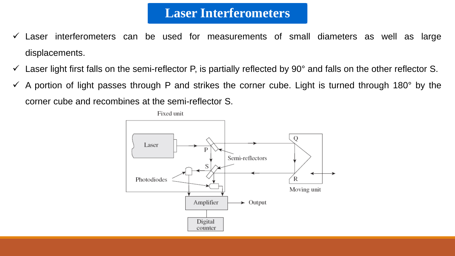### **Laser Interferometers**

- $\checkmark$  Laser interferometers can be used for measurements of small diameters as well as large displacements.
- $\checkmark$  Laser light first falls on the semi-reflector P, is partially reflected by 90° and falls on the other reflector S.
- $\checkmark$  A portion of light passes through P and strikes the corner cube. Light is turned through 180° by the corner cube and recombines at the semi-reflector S.

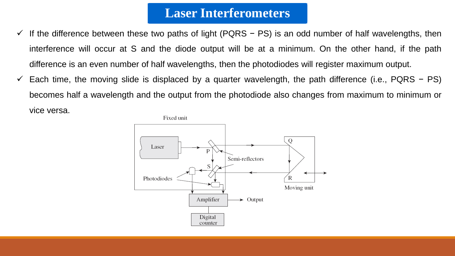#### **Laser Interferometers**

- If the difference between these two paths of light (PQRS − PS) is an odd number of half wavelengths, then interference will occur at S and the diode output will be at a minimum. On the other hand, if the path difference is an even number of half wavelengths, then the photodiodes will register maximum output.
- Each time, the moving slide is displaced by a quarter wavelength, the path difference (i.e., PQRS − PS) becomes half a wavelength and the output from the photodiode also changes from maximum to minimum or vice versa.

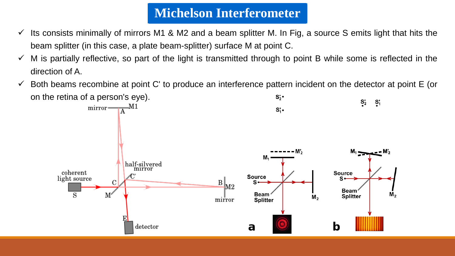### **Michelson Interferometer**

- Its consists minimally of mirrors M1 & M2 and a beam splitter M. In Fig, a source S emits light that hits the beam splitter (in this case, a plate beam-splitter) surface M at point C.
- M is partially reflective, so part of the light is transmitted through to point B while some is reflected in the direction of A.
- $\checkmark$  Both beams recombine at point C' to produce an interference pattern incident on the detector at point E (or on the retina of a person's eye). $S_2'$  $S_{2}$  $S_1$  $mirror - A$ <sup>M1</sup>